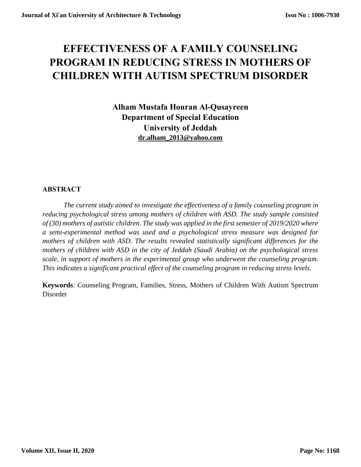# **EFFECTIVENESS OF A FAMILY COUNSELING PROGRAM IN REDUCING STRESS IN MOTHERS OF CHILDREN WITH AUTISM SPECTRUM DISORDER**

**Alham Mustafa Houran Al-Qusayreen Department of Special Education University of Jeddah [dr.alham\\_2013@yahoo.com](mailto:dr.alham_2013@yahoo.com)**

# **ABSTRACT**

*The current study aimed to investigate the effectiveness of a family counseling program in reducing psychological stress among mothers of children with ASD. The study sample consisted of (30) mothers of autistic children. The study was applied in the first semester of 2019/2020 where a semi-experimental method was used and a psychological stress measure was designed for mothers of children with ASD. The results revealed statistically significant differences for the mothers of children with ASD in the city of Jeddah (Saudi Arabia) on the psychological stress scale, in support of mothers in the experimental group who underwent the counseling program. This indicates a significant practical effect of the counseling program in reducing stress levels.*

**Keywords**: Counseling Program, Families, Stress, Mothers of Children With Autism Spectrum Disorder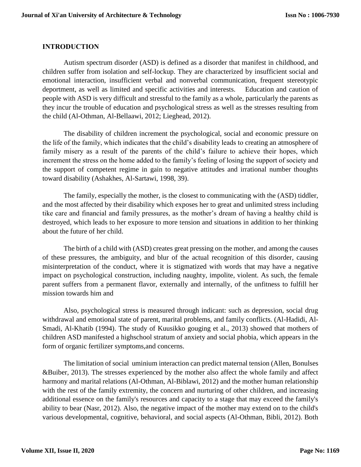# **INTRODUCTION**

Autism spectrum disorder (ASD) is defined as a disorder that manifest in childhood, and children suffer from isolation and self-lockup. They are characterized by insufficient social and emotional interaction, insufficient verbal and nonverbal communication, frequent stereotypic deportment, as well as limited and specific activities and interests. Education and caution of people with ASD is very difficult and stressful to the family as a whole, particularly the parents as they incur the trouble of education and psychological stress as well as the stresses resulting from the child (Al-Othman, Al-Bellaawi, 2012; Lieghead, 2012).

The disability of children increment the psychological, social and economic pressure on the life of the family, which indicates that the child's disability leads to creating an atmosphere of family misery as a result of the parents of the child's failure to achieve their hopes, which increment the stress on the home added to the family's feeling of losing the support of society and the support of competent regime in gain to negative attitudes and irrational number thoughts toward disability (Ashakhes, Al-Sartawi, 1998, 39).

The family, especially the mother, is the closest to communicating with the (ASD) tiddler, and the most affected by their disability which exposes her to great and unlimited stress including tike care and financial and family pressures, as the mother's dream of having a healthy child is destroyed, which leads to her exposure to more tension and situations in addition to her thinking about the future of her child.

The birth of a child with (ASD) creates great pressing on the mother, and among the causes of these pressures, the ambiguity, and blur of the actual recognition of this disorder, causing misinterpretation of the conduct, where it is stigmatized with words that may have a negative impact on psychological construction, including naughty, impolite, violent. As such, the female parent suffers from a permanent flavor, externally and internally, of the unfitness to fulfill her mission towards him and

Also, psychological stress is measured through indicant: such as depression, social drug withdrawal and emotional state of parent, marital problems, and family conflicts. (Al-Hadidi, Al-Smadi, Al-Khatib (1994). The study of Kuusikko gouging et al., 2013) showed that mothers of children ASD manifested a highschool stratum of anxiety and social phobia, which appears in the form of organic fertilizer symptoms,and concerns.

The limitation of social uminium interaction can predict maternal tension (Allen, Bonulses &Buiber, 2013). The stresses experienced by the mother also affect the whole family and affect harmony and marital relations (Al-Othman, Al-Biblawi, 2012) and the mother human relationship with the rest of the family extremity, the concern and nurturing of other children, and increasing additional essence on the family's resources and capacity to a stage that may exceed the family's ability to bear (Nasr, 2012). Also, the negative impact of the mother may extend on to the child's various developmental, cognitive, behavioral, and social aspects (Al-Othman, Bibli, 2012). Both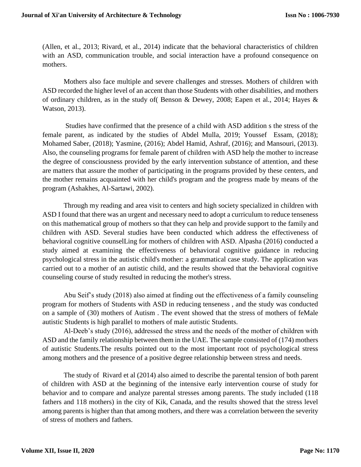(Allen, et al., 2013; Rivard, et al., 2014) indicate that the behavioral characteristics of children with an ASD, communication trouble, and social interaction have a profound consequence on mothers.

Mothers also face multiple and severe challenges and stresses. Mothers of children with ASD recorded the higher level of an accent than those Students with other disabilities, and mothers of ordinary children, as in the study of( Benson & Dewey, 2008; Eapen et al., 2014; Hayes & Watson, 2013).

Studies have confirmed that the presence of a child with ASD addition s the stress of the female parent, as indicated by the studies of Abdel Mulla, 2019; Youssef Essam, (2018); Mohamed Saber, (2018); Yasmine, (2016); Abdel Hamid, Ashraf, (2016); and Mansouri, (2013). Also, the counseling programs for female parent of children with ASD help the mother to increase the degree of consciousness provided by the early intervention substance of attention, and these are matters that assure the mother of participating in the programs provided by these centers, and the mother remains acquainted with her child's program and the progress made by means of the program (Ashakhes, Al-Sartawi, 2002).

Through my reading and area visit to centers and high society specialized in children with ASD I found that there was an urgent and necessary need to adopt a curriculum to reduce tenseness on this mathematical group of mothers so that they can help and provide support to the family and children with ASD. Several studies have been conducted which address the effectiveness of behavioral cognitive counselLing for mothers of children with ASD. Alpasha (2016) conducted a study aimed at examining the effectiveness of behavioral cognitive guidance in reducing psychological stress in the autistic child's mother: a grammatical case study. The application was carried out to a mother of an autistic child, and the results showed that the behavioral cognitive counseling course of study resulted in reducing the mother's stress.

Abu Seif's study (2018) also aimed at finding out the effectiveness of a family counseling program for mothers of Students with ASD in reducing tenseness , and the study was conducted on a sample of (30) mothers of Autism . The event showed that the stress of mothers of feMale autistic Students is high parallel to mothers of male autistic Students.

Al-Deeb's study (2016), addressed the stress and the needs of the mother of children with ASD and the family relationship between them in the UAE. The sample consisted of (174) mothers of autistic Students.The results pointed out to the most important root of psychological stress among mothers and the presence of a positive degree relationship between stress and needs.

The study of Rivard et al (2014) also aimed to describe the parental tension of both parent of children with ASD at the beginning of the intensive early intervention course of study for behavior and to compare and analyze parental stresses among parents. The study included (118 fathers and 118 mothers) in the city of Kik, Canada, and the results showed that the stress level among parents is higher than that among mothers, and there was a correlation between the severity of stress of mothers and fathers.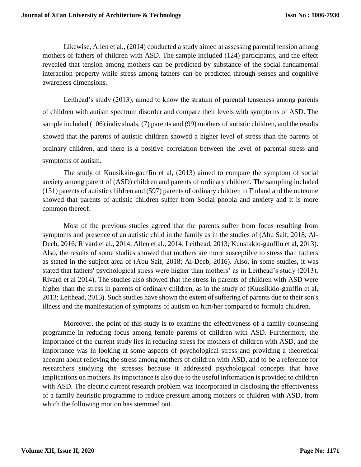Likewise, Allen et al., (2014) conducted a study aimed at assessing parental tension among mothers of fathers of children with ASD. The sample included (124) participants, and the effect revealed that tension among mothers can be predicted by substance of the social fundamental interaction property while stress among fathers can be predicted through senses and cognitive awareness dimensions.

Leithead's study (2013), aimed to know the stratum of parental tenseness among parents of children with autism spectrum disorder and compare their levels with symptoms of ASD. The sample included (106) individuals, (7) parents and (99) mothers of autistic children, and the results showed that the parents of autistic children showed a higher level of stress than the parents of ordinary children, and there is a positive correlation between the level of parental stress and symptoms of autism.

The study of Kuusikkio-gauffin et al, (2013) aimed to compare the symptom of social anxiety among parent of (ASD) children and parents of ordinary children. The sampling included (131) parents of autistic children and (597) parents of ordinary children in Finland and the outcome showed that parents of autistic children suffer from Social phobia and anxiety and it is more common thereof.

Most of the previous studies agreed that the parents suffer from focus resulting from symptoms and presence of an autistic child in the family as in the studies of (Abu Saif, 2018; Al-Deeb, 2016; Rivard et al., 2014; Allen et al., 2014; Leithead, 2013; Kuusikkio-gauffin et al, 2013). Also, the results of some studies showed that mothers are more susceptible to stress than fathers as stated in the subject area of (Abu Saif, 2018; Al-Deeb, 2016). Also, in some studies, it was stated that fathers' psychological stress were higher than mothers' as in Leithead's study (2013), Rivard et al 2014). The studies also showed that the stress in parents of children with ASD were higher than the stress in parents of ordinary children, as in the study of (Kuusikkio-gauffin et al, 2013; Leithead, 2013). Such studies have shown the extent of suffering of parents due to their son's illness and the manifestation of symptoms of autism on him/her compared to formula children.

Moreover, the point of this study is to examine the effectiveness of a family counseling programme in reducing focus among female parents of children with ASD. Furthermore, the importance of the current study lies in reducing stress for mothers of children with ASD, and the importance was in looking at some aspects of psychological stress and providing a theoretical account about relieving the stress among mothers of children with ASD, and to be a reference for researchers studying the stresses because it addressed psychological concepts that have implications on mothers. Its importance is also due to the useful information is provided to children with ASD. The electric current research problem was incorporated in disclosing the effectiveness of a family heuristic programme to reduce pressure among mothers of children with ASD, from which the following motion has stemmed out.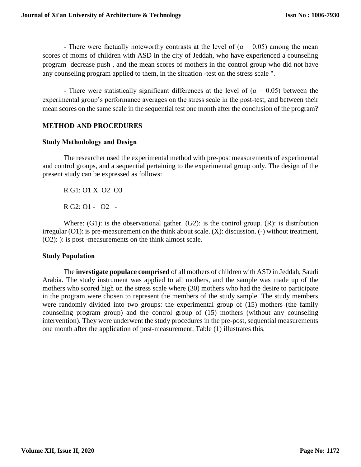- There were factually noteworthy contrasts at the level of ( $\alpha = 0.05$ ) among the mean scores of moms of children with ASD in the city of Jeddah, who have experienced a counseling program decrease push , and the mean scores of mothers in the control group who did not have any counseling program applied to them, in the situation -test on the stress scale ".

- There were statistically significant differences at the level of ( $\alpha = 0.05$ ) between the experimental group's performance averages on the stress scale in the post-test, and between their mean scores on the same scale in the sequential test one month after the conclusion of the program?

#### **METHOD AND PROCEDURES**

#### **Study Methodology and Design**

The researcher used the experimental method with pre-post measurements of experimental and control groups, and a sequential pertaining to the experimental group only. The design of the present study can be expressed as follows:

R G1: O1 X O2 O3

R G2: O1 - O2 -

Where:  $(G1)$ : is the observational gather.  $(G2)$ : is the control group.  $(R)$ : is distribution irregular (O1): is pre-measurement on the think about scale. (X): discussion. (-) without treatment, (O2): ): is post -measurements on the think almost scale.

#### **Study Population**

The **investigate populace comprised** of all mothers of children with ASD in Jeddah, Saudi Arabia. The study instrument was applied to all mothers, and the sample was made up of the mothers who scored high on the stress scale where (30) mothers who had the desire to participate in the program were chosen to represent the members of the study sample. The study members were randomly divided into two groups: the experimental group of (15) mothers (the family counseling program group) and the control group of (15) mothers (without any counseling intervention). They were underwent the study procedures in the pre-post, sequential measurements one month after the application of post-measurement. Table (1) illustrates this.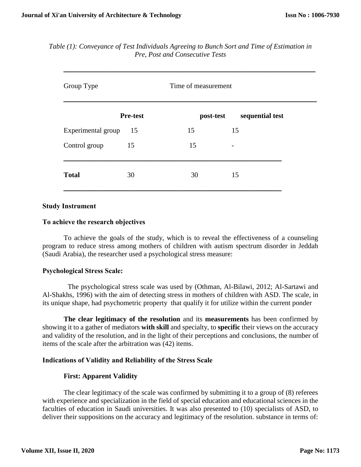| Group Type         |                 | Time of measurement |                 |
|--------------------|-----------------|---------------------|-----------------|
|                    | <b>Pre-test</b> | post-test           | sequential test |
| Experimental group | -15             | 15                  | 15              |
| Control group      | 15              | 15                  |                 |
| <b>Total</b>       | 30              | 30                  | 15              |

*Table (1): Conveyance of Test Individuals Agreeing to Bunch Sort and Time of Estimation in Pre, Post and Consecutive Tests*

#### **Study Instrument**

#### **To achieve the research objectives**

To achieve the goals of the study, which is to reveal the effectiveness of a counseling program to reduce stress among mothers of children with autism spectrum disorder in Jeddah (Saudi Arabia), the researcher used a psychological stress measure:

#### **Psychological Stress Scale:**

The psychological stress scale was used by (Othman, Al-Bilawi, 2012; Al-Sartawi and Al-Shakhs, 1996) with the aim of detecting stress in mothers of children with ASD. The scale, in its unique shape, had psychometric property that qualify it for utilize within the current ponder

**The clear legitimacy of the resolution** and its **measurements** has been confirmed by showing it to a gather of mediators **with skill** and specialty, to **specific** their views on the accuracy and validity of the resolution, and in the light of their perceptions and conclusions, the number of items of the scale after the arbitration was (42) items.

#### **Indications of Validity and Reliability of the Stress Scale**

#### **First: Apparent Validity**

The clear legitimacy of the scale was confirmed by submitting it to a group of (8) referees with experience and specialization in the field of special education and educational sciences in the faculties of education in Saudi universities. It was also presented to (10) specialists of ASD, to deliver their suppositions on the accuracy and legitimacy of the resolution. substance in terms of: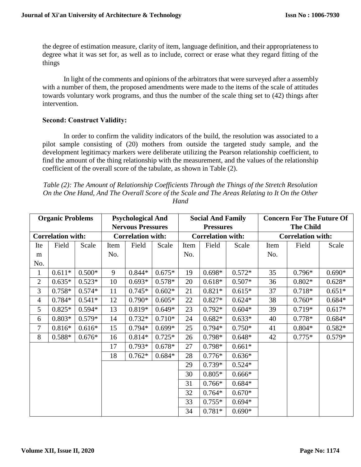the degree of estimation measure, clarity of item, language definition, and their appropriateness to degree what it was set for, as well as to include, correct or erase what they regard fitting of the things

In light of the comments and opinions of the arbitrators that were surveyed after a assembly with a number of them, the proposed amendments were made to the items of the scale of attitudes towards voluntary work programs, and thus the number of the scale thing set to (42) things after intervention.

#### **Second: Construct Validity:**

In order to confirm the validity indicators of the build, the resolution was associated to a pilot sample consisting of (20) mothers from outside the targeted study sample, and the development legitimacy markers were deliberate utilizing the Pearson relationship coefficient, to find the amount of the thing relationship with the measurement, and the values of the relationship coefficient of the overall score of the tabulate, as shown in Table (2).

| Table (2): The Amount of Relationship Coefficients Through the Things of the Stretch Resolution |
|-------------------------------------------------------------------------------------------------|
| On the One Hand, And The Overall Score of the Scale and The Areas Relating to It On the Other   |
| Hand                                                                                            |

| <b>Organic Problems</b> |                          | <b>Psychological And</b> |                          |          |          | <b>Social And Family</b> |                  |          | <b>Concern For The Future Of</b> |                  |          |  |
|-------------------------|--------------------------|--------------------------|--------------------------|----------|----------|--------------------------|------------------|----------|----------------------------------|------------------|----------|--|
|                         |                          |                          | <b>Nervous Pressures</b> |          |          |                          | <b>Pressures</b> |          |                                  | <b>The Child</b> |          |  |
|                         | <b>Correlation with:</b> |                          | <b>Correlation with:</b> |          |          | <b>Correlation with:</b> |                  |          | <b>Correlation with:</b>         |                  |          |  |
| Ite                     | Field                    | Scale                    | Item                     | Field    | Scale    | Item                     | Field            | Scale    | Item                             | Field            | Scale    |  |
| m                       |                          |                          | No.                      |          |          | No.                      |                  |          | No.                              |                  |          |  |
| No.                     |                          |                          |                          |          |          |                          |                  |          |                                  |                  |          |  |
| $\mathbf{1}$            | $0.611*$                 | $0.500*$                 | 9                        | $0.844*$ | $0.675*$ | 19                       | $0.698*$         | $0.572*$ | 35                               | $0.796*$         | $0.690*$ |  |
| $\overline{2}$          | $0.635*$                 | $0.523*$                 | 10                       | $0.693*$ | $0.578*$ | 20                       | $0.618*$         | $0.507*$ | 36                               | $0.802*$         | $0.628*$ |  |
| 3                       | $0.758*$                 | $0.574*$                 | 11                       | $0.745*$ | $0.602*$ | 21                       | $0.821*$         | $0.615*$ | 37                               | $0.718*$         | $0.651*$ |  |
| $\overline{4}$          | $0.784*$                 | $0.541*$                 | 12                       | $0.790*$ | $0.605*$ | 22                       | $0.827*$         | $0.624*$ | 38                               | $0.760*$         | $0.684*$ |  |
| 5                       | $0.825*$                 | $0.594*$                 | 13                       | 0.819*   | $0.649*$ | 23                       | $0.792*$         | $0.604*$ | 39                               | $0.719*$         | $0.617*$ |  |
| 6                       | $0.803*$                 | $0.579*$                 | 14                       | $0.732*$ | $0.710*$ | 24                       | $0.682*$         | $0.633*$ | 40                               | $0.778*$         | $0.684*$ |  |
| 7                       | $0.816*$                 | $0.616*$                 | 15                       | $0.794*$ | $0.699*$ | 25                       | $0.794*$         | $0.750*$ | 41                               | $0.804*$         | $0.582*$ |  |
| 8                       | 0.588*                   | $0.676*$                 | 16                       | $0.814*$ | $0.725*$ | 26                       | $0.798*$         | $0.648*$ | 42                               | $0.775*$         | $0.579*$ |  |
|                         |                          |                          | 17                       | $0.793*$ | $0.678*$ | 27                       | $0.798*$         | $0.661*$ |                                  |                  |          |  |
|                         |                          |                          | 18                       | $0.762*$ | $0.684*$ | 28                       | $0.776*$         | $0.636*$ |                                  |                  |          |  |
|                         |                          |                          |                          |          |          | 29                       | $0.739*$         | $0.524*$ |                                  |                  |          |  |
|                         |                          |                          |                          |          |          | 30                       | $0.805*$         | $0.666*$ |                                  |                  |          |  |
|                         |                          |                          |                          |          | 31       | $0.766*$                 | $0.684*$         |          |                                  |                  |          |  |
|                         |                          |                          |                          |          |          | 32                       | $0.764*$         | $0.670*$ |                                  |                  |          |  |
|                         |                          |                          |                          |          |          | 33                       | $0.755*$         | $0.694*$ |                                  |                  |          |  |
|                         |                          |                          |                          |          |          | 34                       | $0.781*$         | $0.690*$ |                                  |                  |          |  |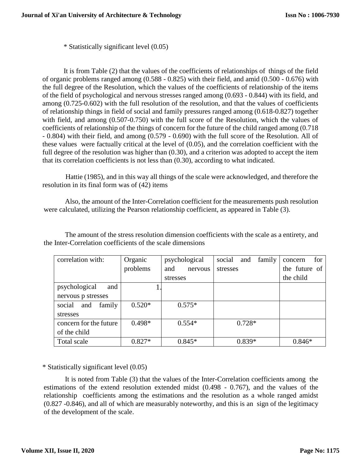\* Statistically significant level (0.05)

It is from Table (2) that the values of the coefficients of relationships of things of the field of organic problems ranged among (0.588 - 0.825) with their field, and amid (0.500 - 0.676) with the full degree of the Resolution, which the values of the coefficients of relationship of the items of the field of psychological and nervous stresses ranged among (0.693 - 0.844) with its field, and among (0.725-0.602) with the full resolution of the resolution, and that the values of coefficients of relationship things in field of social and family pressures ranged among (0.618-0.827) together with field, and among (0.507-0.750) with the full score of the Resolution, which the values of coefficients of relationship of the things of concern for the future of the child ranged among (0.718 - 0.804) with their field, and among (0.579 - 0.690) with the full score of the Resolution. All of these values were factually critical at the level of (0.05), and the correlation coefficient with the full degree of the resolution was higher than  $(0.30)$ , and a criterion was adopted to accept the item that its correlation coefficients is not less than (0.30), according to what indicated.

Hattie (1985), and in this way all things of the scale were acknowledged, and therefore the resolution in its final form was of (42) items

Also, the amount of the Inter-Correlation coefficient for the measurements push resolution were calculated, utilizing the Pearson relationship coefficient, as appeared in Table (3).

The amount of the stress resolution dimension coefficients with the scale as a entirety, and the Inter-Correlation coefficients of the scale dimensions

| correlation with:       | Organic  | psychological  | social<br>family<br>and | for<br>concern |
|-------------------------|----------|----------------|-------------------------|----------------|
|                         | problems | and<br>nervous | stresses                | the future of  |
|                         |          | stresses       |                         | the child      |
| psychological<br>and    |          |                |                         |                |
| nervous p stresses      |          |                |                         |                |
| family<br>social<br>and | $0.520*$ | $0.575*$       |                         |                |
| stresses                |          |                |                         |                |
| concern for the future  | $0.498*$ | $0.554*$       | $0.728*$                |                |
| of the child            |          |                |                         |                |
| Total scale             | $0.827*$ | $0.845*$       | $0.839*$                | $0.846*$       |

\* Statistically significant level (0.05)

It is noted from Table (3) that the values of the Inter-Correlation coefficients among the estimations of the extend resolution extended midst (0.498 - 0.767), and the values of the relationship coefficients among the estimations and the resolution as a whole ranged amidst (0.827 -0.846), and all of which are measurably noteworthy, and this is an sign of the legitimacy of the development of the scale.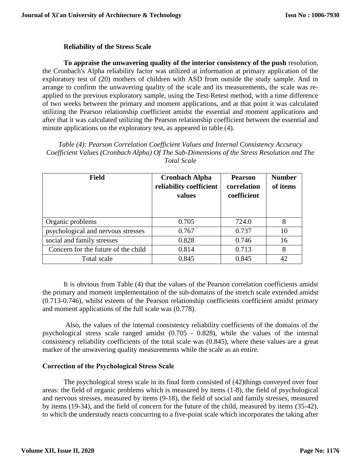### **Reliability of the Stress Scale**

**To appraise the unwavering quality of the interior consistency of the push** resolution, the Cronbach's Alpha reliability factor was utilized at information at primary application of the exploratory test of (20) mothers of children with ASD from outside the study sample. And in arrange to confirm the unwavering quality of the scale and its measurements, the scale was reapplied to the previous exploratory sample, using the Test-Retest method, with a time difference of two weeks between the primary and moment applications, and at that point it was calculated utilizing the Pearson relationship coefficient amidst the essential and moment applications and after that it was calculated utilizing the Pearson relationship coefficient between the essential and minute applications on the exploratory test, as appeared in table (4).

*Table (4): Pearson Correlation Coefficient Values and Internal Consistency Accuracy Coefficient Values (Cronbach Alpha) Of The Sub-Dimensions of the Stress Resolution and The Total Scale*

| <b>Field</b>                        | <b>Cronbach Alpha</b><br>reliability coefficient<br>values | <b>Pearson</b><br>correlation<br>coefficient | <b>Number</b><br>of items |
|-------------------------------------|------------------------------------------------------------|----------------------------------------------|---------------------------|
| Organic problems                    | 0.705                                                      | 724.0                                        | 8                         |
| psychological and nervous stresses  | 0.767                                                      | 0.737                                        | 10                        |
| social and family stresses          | 0.828                                                      | 0.746                                        | 16                        |
| Concern for the future of the child | 0.814                                                      | 0.713                                        | 8                         |
| Total scale                         | 0.845                                                      | 0.845                                        | 42.                       |

It is obvious from Table (4) that the values of the Pearson correlation coefficients amidst the primary and moment implementation of the sub-domains of the stretch scale extended amidst (0.713-0.746), whilst esteem of the Pearson relationship coefficients coefficient amidst primary and moment applications of the full scale was (0.778).

Also, the values of the internal consistency reliability coefficients of the domains of the psychological stress scale ranged amidst (0.705 - 0.828), while the values of the internal consistency reliability coefficients of the total scale was (0.845), where these values are a great marker of the unwavering quality measurements while the scale as an entire.

#### **Correction of the Psychological Stress Scale**

The psychological stress scale in its final form consisted of (42)things conveyed over four areas: the field of organic problems which is measured by items (1-8), the field of psychological and nervous stresses, measured by items (9-18), the field of social and family stresses, measured by items (19-34), and the field of concern for the future of the child, measured by items (35-42), to which the understudy reacts concurring to a five-point scale which incorporates the taking after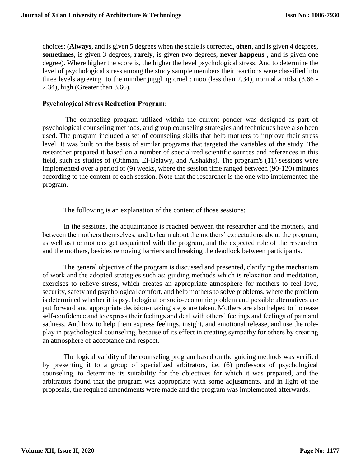choices: (**Always**, and is given 5 degrees when the scale is corrected, **often**, and is given 4 degrees, **sometimes**, is given 3 degrees, **rarely**, is given two degrees, **never happens** , and is given one degree). Where higher the score is, the higher the level psychological stress. And to determine the level of psychological stress among the study sample members their reactions were classified into three levels agreeing to the number juggling cruel : moo (less than 2.34), normal amidst (3.66 - 2.34), high (Greater than 3.66).

#### **Psychological Stress Reduction Program:**

The counseling program utilized within the current ponder was designed as part of psychological counseling methods, and group counseling strategies and techniques have also been used. The program included a set of counseling skills that help mothers to improve their stress level. It was built on the basis of similar programs that targeted the variables of the study. The researcher prepared it based on a number of specialized scientific sources and references in this field, such as studies of (Othman, El-Belawy, and Alshakhs). The program's (11) sessions were implemented over a period of (9) weeks, where the session time ranged between (90-120) minutes according to the content of each session. Note that the researcher is the one who implemented the program.

The following is an explanation of the content of those sessions:

In the sessions, the acquaintance is reached between the researcher and the mothers, and between the mothers themselves, and to learn about the mothers' expectations about the program, as well as the mothers get acquainted with the program, and the expected role of the researcher and the mothers, besides removing barriers and breaking the deadlock between participants.

The general objective of the program is discussed and presented, clarifying the mechanism of work and the adopted strategies such as: guiding methods which is relaxation and meditation, exercises to relieve stress, which creates an appropriate atmosphere for mothers to feel love, security, safety and psychological comfort, and help mothers to solve problems, where the problem is determined whether it is psychological or socio-economic problem and possible alternatives are put forward and appropriate decision-making steps are taken. Mothers are also helped to increase self-confidence and to express their feelings and deal with others' feelings and feelings of pain and sadness. And how to help them express feelings, insight, and emotional release, and use the roleplay in psychological counseling, because of its effect in creating sympathy for others by creating an atmosphere of acceptance and respect.

The logical validity of the counseling program based on the guiding methods was verified by presenting it to a group of specialized arbitrators, i.e. (6) professors of psychological counseling, to determine its suitability for the objectives for which it was prepared, and the arbitrators found that the program was appropriate with some adjustments, and in light of the proposals, the required amendments were made and the program was implemented afterwards.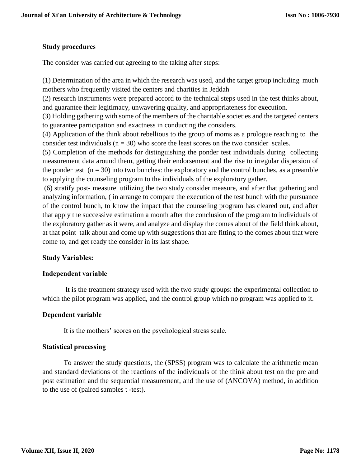## **Study procedures**

The consider was carried out agreeing to the taking after steps:

(1) Determination of the area in which the research was used, and the target group including much mothers who frequently visited the centers and charities in Jeddah

(2) research instruments were prepared accord to the technical steps used in the test thinks about, and guarantee their legitimacy, unwavering quality, and appropriateness for execution.

(3) Holding gathering with some of the members of the charitable societies and the targeted centers to guarantee participation and exactness in conducting the considers.

(4) Application of the think about rebellious to the group of moms as a prologue reaching to the consider test individuals ( $n = 30$ ) who score the least scores on the two consider scales.

(5) Completion of the methods for distinguishing the ponder test individuals during collecting measurement data around them, getting their endorsement and the rise to irregular dispersion of the ponder test  $(n = 30)$  into two bunches: the exploratory and the control bunches, as a preamble to applying the counseling program to the individuals of the exploratory gather.

(6) stratify post- measure utilizing the two study consider measure, and after that gathering and analyzing information, ( in arrange to compare the execution of the test bunch with the pursuance of the control bunch, to know the impact that the counseling program has cleared out, and after that apply the successive estimation a month after the conclusion of the program to individuals of the exploratory gather as it were, and analyze and display the comes about of the field think about, at that point talk about and come up with suggestions that are fitting to the comes about that were come to, and get ready the consider in its last shape.

# **Study Variables:**

# **Independent variable**

It is the treatment strategy used with the two study groups: the experimental collection to which the pilot program was applied, and the control group which no program was applied to it.

#### **Dependent variable**

It is the mothers' scores on the psychological stress scale.

#### **Statistical processing**

To answer the study questions, the (SPSS) program was to calculate the arithmetic mean and standard deviations of the reactions of the individuals of the think about test on the pre and post estimation and the sequential measurement, and the use of (ANCOVA) method, in addition to the use of (paired samples t -test).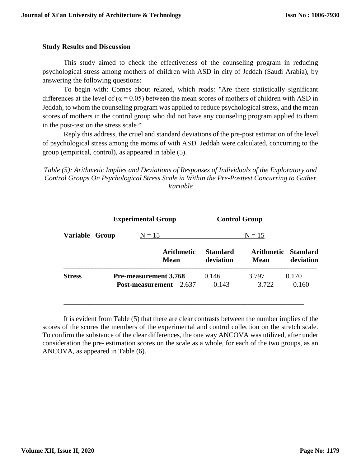### **Study Results and Discussion**

This study aimed to check the effectiveness of the counseling program in reducing psychological stress among mothers of children with ASD in city of Jeddah (Saudi Arabia), by answering the following questions:

To begin with: Comes about related, which reads: "Are there statistically significant differences at the level of ( $\alpha$  = 0.05) between the mean scores of mothers of children with ASD in Jeddah, to whom the counseling program was applied to reduce psychological stress, and the mean scores of mothers in the control group who did not have any counseling program applied to them in the post-test on the stress scale?"

Reply this address, the cruel and standard deviations of the pre-post estimation of the level of psychological stress among the moms of with ASD Jeddah were calculated, concurring to the group (empirical, control), as appeared in table (5).

*Table (5): Arithmetic Implies and Deviations of Responses of Individuals of the Exploratory and Control Groups On Psychological Stress Scale in Within the Pre-Posttest Concurring to Gather Variable*

|                | <b>Experimental Group</b>                                     | <b>Control Group</b>         |                |                                  |  |
|----------------|---------------------------------------------------------------|------------------------------|----------------|----------------------------------|--|
| Variable Group | $N = 15$                                                      |                              | $N = 15$       |                                  |  |
|                | <b>Arithmetic</b><br><b>Mean</b>                              | <b>Standard</b><br>deviation | <b>Mean</b>    | Arithmetic Standard<br>deviation |  |
| <b>Stress</b>  | <b>Pre-measurement 3.768</b><br><b>Post-measurement</b> 2.637 | 0.146<br>0.143               | 3.797<br>3.722 | 0.170<br>0.160                   |  |

It is evident from Table (5) that there are clear contrasts between the number implies of the scores of the scores the members of the experimental and control collection on the stretch scale. To confirm the substance of the clear differences, the one way ANCOVA was utilized, after under consideration the pre- estimation scores on the scale as a whole, for each of the two groups, as an ANCOVA, as appeared in Table (6).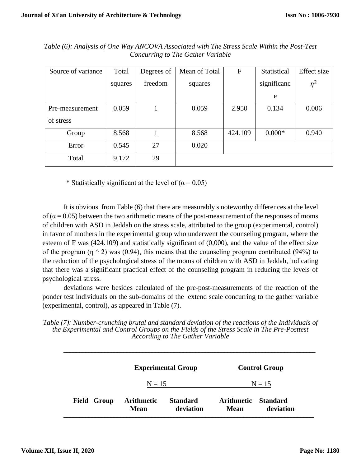| Source of variance | Total   | Degrees of | Mean of Total | $\mathbf F$ | Statistical | <b>Effect</b> size |
|--------------------|---------|------------|---------------|-------------|-------------|--------------------|
|                    | squares | freedom    | squares       |             | significanc | $\eta^2$           |
|                    |         |            |               |             | e           |                    |
| Pre-measurement    | 0.059   |            | 0.059         | 2.950       | 0.134       | 0.006              |
| of stress          |         |            |               |             |             |                    |
| Group              | 8.568   |            | 8.568         | 424.109     | $0.000*$    | 0.940              |
| Error              | 0.545   | 27         | 0.020         |             |             |                    |
| Total              | 9.172   | 29         |               |             |             |                    |

*Table (6): Analysis of One Way ANCOVA Associated with The Stress Scale Within the Post-Test Concurring to The Gather Variable*

\* Statistically significant at the level of  $(\alpha = 0.05)$ 

It is obvious from Table (6) that there are measurably s noteworthy differences at the level of  $(\alpha = 0.05)$  between the two arithmetic means of the post-measurement of the responses of moms of children with ASD in Jeddah on the stress scale, attributed to the group (experimental, control) in favor of mothers in the experimental group who underwent the counseling program, where the esteem of F was (424.109) and statistically significant of (0,000), and the value of the effect size of the program ( $\eta$   $\land$  2) was (0.94), this means that the counseling program contributed (94%) to the reduction of the psychological stress of the moms of children with ASD in Jeddah, indicating that there was a significant practical effect of the counseling program in reducing the levels of psychological stress.

deviations were besides calculated of the pre-post-measurements of the reaction of the ponder test individuals on the sub-domains of the extend scale concurring to the gather variable (experimental, control), as appeared in Table (7).

*Table (7): Number-crunching brutal and standard deviation of the reactions of the Individuals of the Experimental and Control Groups on the Fields of the Stress Scale in The Pre-Posttest According to The Gather Variable*

|                | <b>Experimental Group</b>        |                              | <b>Control Group</b>             |                              |  |
|----------------|----------------------------------|------------------------------|----------------------------------|------------------------------|--|
|                | $N = 15$                         |                              | $N = 15$                         |                              |  |
| Group<br>Field | <b>Arithmetic</b><br><b>Mean</b> | <b>Standard</b><br>deviation | <b>Arithmetic</b><br><b>Mean</b> | <b>Standard</b><br>deviation |  |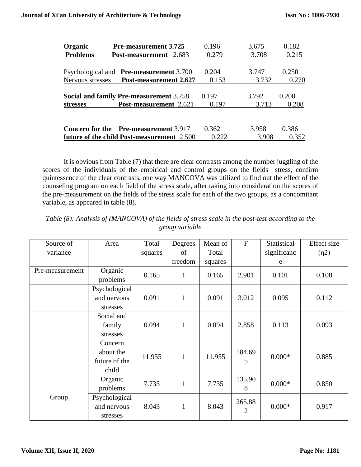| Organic          | <b>Pre-measurement 3.725</b>                   | 0.196 | 3.675 | 0.182 |
|------------------|------------------------------------------------|-------|-------|-------|
| <b>Problems</b>  | <b>Post-measurement</b> 2.683                  | 0.279 | 3.708 | 0.215 |
|                  |                                                |       |       |       |
|                  | Psychological and <b>Pre-measurement</b> 3.700 | 0.204 | 3.747 | 0.250 |
| Nervous stresses | <b>Post-measurement 2.627</b>                  | 0.153 | 3.732 | 0.270 |
|                  |                                                |       |       |       |
|                  | <b>Social and family Pre-measurement 3.758</b> | 0.197 | 3.792 | 0.200 |
| <b>stresses</b>  | Post-measurement 2.621                         | 0.197 | 3.713 | 0.208 |
|                  |                                                |       |       |       |
|                  | <b>Concern for the</b> Pre-measurement 3.917   | 0.362 | 3.958 | 0.386 |
|                  | future of the child Post-measurement 2.500     | 0.222 | 3.908 | 0.352 |

It is obvious from Table (7) that there are clear contrasts among the number juggling of the scores of the individuals of the empirical and control groups on the fields stress, confirm quintessence of the clear contrasts, one way MANCOVA was utilized to find out the effect of the counseling program on each field of the stress scale, after taking into consideration the scores of the pre-measurement on the fields of the stress scale for each of the two groups, as a concomitant variable, as appeared in table (8).

| Source of       | Area          | Total   | Degrees      | Mean of | $\mathbf{F}$   | Statistical | <b>Effect</b> size |
|-----------------|---------------|---------|--------------|---------|----------------|-------------|--------------------|
| variance        |               | squares | of           | Total   |                | significanc | (n2)               |
|                 |               |         | freedom      | squares |                | e           |                    |
| Pre-measurement | Organic       | 0.165   | $\mathbf{1}$ | 0.165   | 2.901          | 0.101       | 0.108              |
|                 | problems      |         |              |         |                |             |                    |
|                 | Psychological |         |              |         |                |             |                    |
|                 | and nervous   | 0.091   | $\mathbf{1}$ | 0.091   | 3.012          | 0.095       | 0.112              |
|                 | stresses      |         |              |         |                |             |                    |
|                 | Social and    |         |              |         |                |             |                    |
|                 | family        | 0.094   | $\mathbf{1}$ | 0.094   | 2.858          | 0.113       | 0.093              |
|                 | stresses      |         |              |         |                |             |                    |
|                 | Concern       |         |              |         |                |             |                    |
|                 | about the     | 11.955  | $\mathbf{1}$ | 11.955  | 184.69         | $0.000*$    | 0.885              |
|                 | future of the |         |              |         | 5              |             |                    |
|                 | child         |         |              |         |                |             |                    |
|                 | Organic       | 7.735   | $\mathbf{1}$ | 7.735   | 135.90         | $0.000*$    | 0.850              |
|                 | problems      |         |              |         | 8              |             |                    |
| Group           | Psychological |         |              |         | 265.88         |             |                    |
|                 | and nervous   | 8.043   | $\mathbf{1}$ | 8.043   | $\overline{2}$ | $0.000*$    | 0.917              |
|                 | stresses      |         |              |         |                |             |                    |

*Table (8): Analysis of (MANCOVA) of the fields of stress scale in the post-test according to the group variable*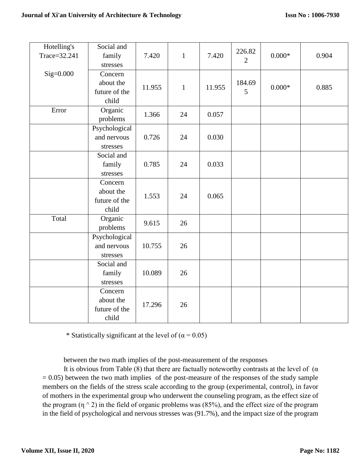| Hotelling's  | Social and             |        |              |        | 226.82         |          |       |
|--------------|------------------------|--------|--------------|--------|----------------|----------|-------|
| Trace=32.241 | family<br>stresses     | 7.420  | $\mathbf{1}$ | 7.420  | $\overline{2}$ | $0.000*$ | 0.904 |
| $Sig=0.000$  | Concern                |        |              |        |                |          |       |
|              | about the              | 11.955 | $\mathbf{1}$ | 11.955 | 184.69         | $0.000*$ | 0.885 |
|              | future of the<br>child |        |              |        | 5              |          |       |
| Error        | Organic                |        |              |        |                |          |       |
|              | problems               | 1.366  | 24           | 0.057  |                |          |       |
|              | Psychological          |        |              |        |                |          |       |
|              | and nervous            | 0.726  | 24           | 0.030  |                |          |       |
|              | stresses               |        |              |        |                |          |       |
|              | Social and             |        |              |        |                |          |       |
|              | family                 | 0.785  | 24           | 0.033  |                |          |       |
|              | stresses               |        |              |        |                |          |       |
|              | Concern                |        |              |        |                |          |       |
|              | about the              | 1.553  | 24           | 0.065  |                |          |       |
|              | future of the<br>child |        |              |        |                |          |       |
| Total        | Organic                | 9.615  | 26           |        |                |          |       |
|              | problems               |        |              |        |                |          |       |
|              | Psychological          |        |              |        |                |          |       |
|              | and nervous            | 10.755 | 26           |        |                |          |       |
|              | stresses               |        |              |        |                |          |       |
|              | Social and             |        |              |        |                |          |       |
|              | family                 | 10.089 | 26           |        |                |          |       |
|              | stresses               |        |              |        |                |          |       |
|              | Concern                |        |              |        |                |          |       |
|              | about the              | 17.296 | 26           |        |                |          |       |
|              | future of the          |        |              |        |                |          |       |
|              | child                  |        |              |        |                |          |       |

\* Statistically significant at the level of ( $\alpha$  = 0.05)

between the two math implies of the post-measurement of the responses

It is obvious from Table (8) that there are factually noteworthy contrasts at the level of  $(\alpha)$  $= 0.05$ ) between the two math implies of the post-measure of the responses of the study sample members on the fields of the stress scale according to the group (experimental, control), in favor of mothers in the experimental group who underwent the counseling program, as the effect size of the program  $(\eta \wedge 2)$  in the field of organic problems was (85%), and the effect size of the program in the field of psychological and nervous stresses was (91.7%), and the impact size of the program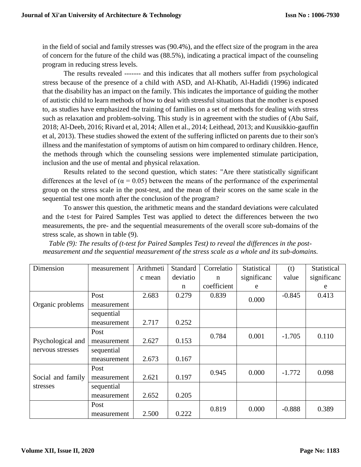in the field of social and family stresses was (90.4%), and the effect size of the program in the area of concern for the future of the child was (88.5%), indicating a practical impact of the counseling program in reducing stress levels.

The results revealed ------- and this indicates that all mothers suffer from psychological stress because of the presence of a child with ASD, and Al-Khatib, Al-Hadidi (1996) indicated that the disability has an impact on the family. This indicates the importance of guiding the mother of autistic child to learn methods of how to deal with stressful situations that the mother is exposed to, as studies have emphasized the training of families on a set of methods for dealing with stress such as relaxation and problem-solving. This study is in agreement with the studies of (Abu Saif, 2018; Al-Deeb, 2016; Rivard et al, 2014; Allen et al., 2014; Leithead, 2013; and Kuusikkio-gauffin et al, 2013). These studies showed the extent of the suffering inflicted on parents due to their son's illness and the manifestation of symptoms of autism on him compared to ordinary children. Hence, the methods through which the counseling sessions were implemented stimulate participation, inclusion and the use of mental and physical relaxation.

Results related to the second question, which states: "Are there statistically significant differences at the level of ( $\alpha = 0.05$ ) between the means of the performance of the experimental group on the stress scale in the post-test, and the mean of their scores on the same scale in the sequential test one month after the conclusion of the program?

To answer this question, the arithmetic means and the standard deviations were calculated and the t-test for Paired Samples Test was applied to detect the differences between the two measurements, the pre- and the sequential measurements of the overall score sub-domains of the stress scale, as shown in table (9).

*Table (9): The results of (t-test for Paired Samples Test) to reveal the differences in the postmeasurement and the sequential measurement of the stress scale as a whole and its sub-domains.*

| Dimension         | measurement | Arithmeti | Standard | Correlatio  | Statistical | (t)      | Statistical |
|-------------------|-------------|-----------|----------|-------------|-------------|----------|-------------|
|                   |             | c mean    | deviatio | $\mathbf n$ | significanc | value    | significanc |
|                   |             |           | n        | coefficient | e           |          | e           |
|                   | Post        | 2.683     | 0.279    | 0.839       | 0.000       | $-0.845$ | 0.413       |
| Organic problems  | measurement |           |          |             |             |          |             |
|                   | sequential  |           |          |             |             |          |             |
|                   | measurement | 2.717     | 0.252    |             |             |          |             |
|                   | Post        |           |          | 0.784       | 0.001       | $-1.705$ | 0.110       |
| Psychological and | measurement | 2.627     | 0.153    |             |             |          |             |
| nervous stresses  | sequential  |           |          |             |             |          |             |
|                   | measurement | 2.673     | 0.167    |             |             |          |             |
|                   | Post        |           |          | 0.945       | 0.000       | $-1.772$ | 0.098       |
| Social and family | measurement | 2.621     | 0.197    |             |             |          |             |
| stresses          | sequential  |           |          |             |             |          |             |
|                   | measurement | 2.652     | 0.205    |             |             |          |             |
|                   | Post        |           |          | 0.819       | 0.000       | $-0.888$ | 0.389       |
|                   | measurement | 2.500     | 0.222    |             |             |          |             |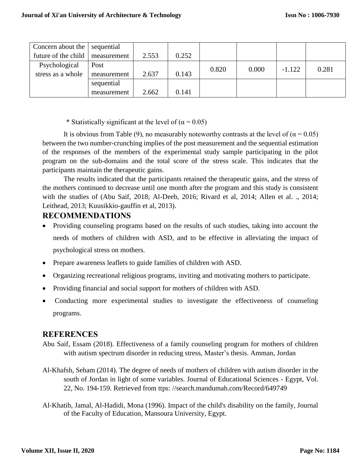|  | Concern about the   | sequential  |       |       |       |       |          |       |
|--|---------------------|-------------|-------|-------|-------|-------|----------|-------|
|  | future of the child | measurement | 2.553 | 0.252 |       |       |          |       |
|  | Psychological       | Post        |       |       | 0.820 | 0.000 | $-1.122$ | 0.281 |
|  | stress as a whole   | measurement | 2.637 | 0.143 |       |       |          |       |
|  |                     | sequential  |       |       |       |       |          |       |
|  |                     | measurement | 2.662 | 0.141 |       |       |          |       |

\* Statistically significant at the level of  $(\alpha = 0.05)$ 

It is obvious from Table (9), no measurably noteworthy contrasts at the level of ( $\alpha$  = 0.05) between the two number-crunching implies of the post measurement and the sequential estimation of the responses of the members of the experimental study sample participating in the pilot program on the sub-domains and the total score of the stress scale. This indicates that the participants maintain the therapeutic gains.

The results indicated that the participants retained the therapeutic gains, and the stress of the mothers continued to decrease until one month after the program and this study is consistent with the studies of (Abu Saif, 2018; Al-Deeb, 2016; Rivard et al, 2014; Allen et al. ., 2014; Leithead, 2013; Kuusikkio-gauffin et al, 2013).

# **RECOMMENDATIONS**

- Providing counseling programs based on the results of such studies, taking into account the needs of mothers of children with ASD, and to be effective in alleviating the impact of psychological stress on mothers.
- Prepare awareness leaflets to guide families of children with ASD.
- Organizing recreational religious programs, inviting and motivating mothers to participate.
- Providing financial and social support for mothers of children with ASD.
- Conducting more experimental studies to investigate the effectiveness of counseling programs.

# **REFERENCES**

- Abu Saif, Essam (2018). Effectiveness of a family counseling program for mothers of children with autism spectrum disorder in reducing stress, Master's thesis. Amman, Jordan
- Al-Khafsh, Seham (2014). The degree of needs of mothers of children with autism disorder in the south of Jordan in light of some variables. Journal of Educational Sciences - Egypt, Vol. 22, No. 194-159. Retrieved from ttps: //search.mandumah.com/Record/649749
- Al-Khatib, Jamal, Al-Hadidi, Mona (1996). Impact of the child's disability on the family, Journal of the Faculty of Education, Mansoura University, Egypt.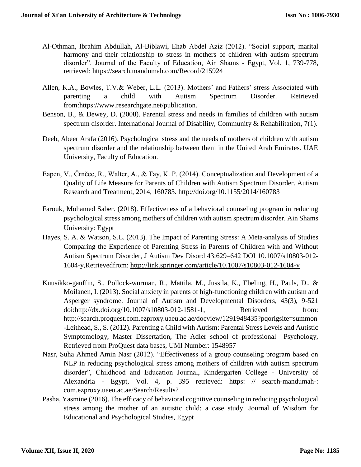- Al-Othman, Ibrahim Abdullah, Al-Biblawi, Ehab Abdel Aziz (2012). "Social support, marital harmony and their relationship to stress in mothers of children with autism spectrum disorder". Journal of the Faculty of Education, Ain Shams - Egypt, Vol. 1, 739-778, retrieved: https://search.mandumah.com/Record/215924
- Allen, K.A., Bowles, T.V.& Weber, L.L. (2013). Mothers' and Fathers' stress Associated with parenting a child with Autism Spectrum Disorder. Retrieved from:https://www.researchgate.net/publication.
- Benson, B., & Dewey, D. (2008). Parental stress and needs in families of children with autism spectrum disorder. International Journal of Disability, Community & Rehabilitation, 7(1).
- Deeb, Abeer Arafa (2016). Psychological stress and the needs of mothers of children with autism spectrum disorder and the relationship between them in the United Arab Emirates. UAE University, Faculty of Education.
- Eapen, V., Črnčec, R., Walter, A., & Tay, K. P. (2014). Conceptualization and Development of a Quality of Life Measure for Parents of Children with Autism Spectrum Disorder. Autism Research and Treatment, 2014, 160783.<http://doi.org/10.1155/2014/160783>
- Farouk, Mohamed Saber. (2018). Effectiveness of a behavioral counseling program in reducing psychological stress among mothers of children with autism spectrum disorder. Ain Shams University: Egypt
- Hayes, S. A. & Watson, S.L. (2013). The Impact of Parenting Stress: A Meta-analysis of Studies Comparing the Experience of Parenting Stress in Parents of Children with and Without Autism Spectrum Disorder, J Autism Dev Disord 43:629–642 DOI 10.1007/s10803-012- 1604-y,Retrievedfrom:<http://link.springer.com/article/10.1007/s10803-012-1604-y>
- Kuusikko-gauffin, S., Pollock-wurman, R., Mattila, M., Jussila, K., Ebeling, H., Pauls, D., & Moilanen, I. (2013). Social anxiety in parents of high-functioning children with autism and Asperger syndrome. Journal of Autism and Developmental Disorders, 43(3), 9-521 doi:http://dx.doi.org/10.1007/s10803-012-1581-1, Retrieved from: http://search.proquest.com.ezproxy.uaeu.ac.ae/docview/1291948435?pqorigsite=summon -Leithead, S., S. (2012). Parenting a Child with Autism: Parental Stress Levels and Autistic Symptomology, Master Dissertation, The Adler school of professional Psychology, Retrieved from ProQuest data bases, UMI Number: 1548957
- Nasr, Suha Ahmed Amin Nasr (2012). "Effectiveness of a group counseling program based on NLP in reducing psychological stress among mothers of children with autism spectrum disorder", Childhood and Education Journal, Kindergarten College - University of Alexandria - Egypt, Vol. 4, p. 395 retrieved: https: // search-mandumah-: com.ezproxy.uaeu.ac.ae/Search/Results?
- Pasha, Yasmine (2016). The efficacy of behavioral cognitive counseling in reducing psychological stress among the mother of an autistic child: a case study. Journal of Wisdom for Educational and Psychological Studies, Egypt